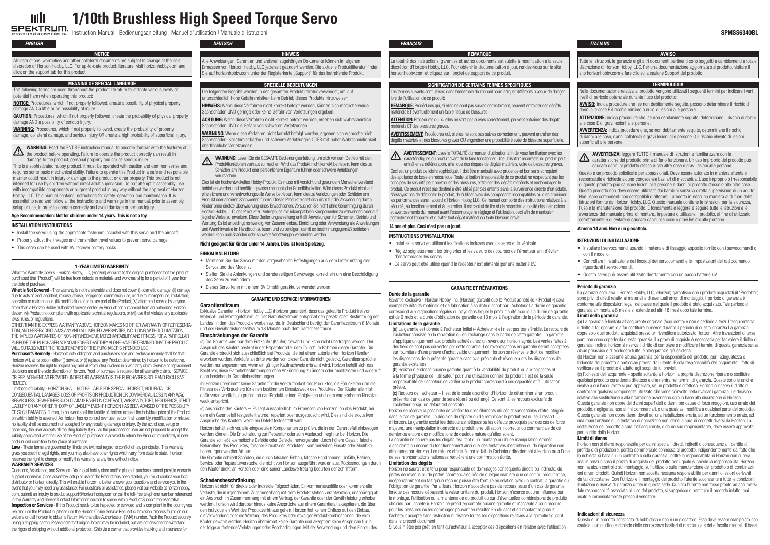# **1/10th Brushless High Speed Torque Servo** ulli

SPEKTRUM. THE HUM Spectrum Technology Instruction Manual | Bedienungsanleitung | Manuel d'utilisation | Manuale di istruzioni **SPMSS6340BL** 

## *English*

### Installation Instructions

- Install the servo using the appropriate fasteners included with this servo and the aircraft.
- Properly adjust the linkages and transmitter travel values to prevent servo damage.
- This servo can be used with 6V receiver battery packs.

- Montieren Sie das Servo mit den vorgesehenen Befestigungen aus dem Lieferumfang des Servos und des Modells.
- Stellen Sie die Anlenkungen und senderseitigen Servowege korrekt ein um eine Beschädigung des Servo zu verhindern.
- • Dieses Servo kann mit einem 6V Empfängerakku verwendet werden.

*Deutsch*

- Installare i servocomandi usando il materiale di fissaggio apposito fornito con i servocomandi o con il modello.
- • Controllare l'installazione dei lincaggi dei servocomandi e le impostazioni del radiocomando riguardanti i servocomandi.
- • Questo servo può essere utilizzato direttamente con un pacco batterie 6V.

# *FRANÇAIS ITALIANO*

## Instructions d'installation

What this Warranty Covers - Horizon Hobby, LLC, (Horizon) warrants to the original purchaser that the product purchased (the "Product") will be free from defects in materials and workmanship for a period of 1 year from the date of purchase.

What is Not Covered - This warranty is not transferable and does not cover (i) cosmetic damage, (ii) damage due to acts of God, accident, misuse, abuse, negligence, commercial use, or due to improper use, installation, operation or maintenance, (iii) modification of or to any part of the Product, (iv) attempted service by anyone other than a Horizon Hobby authorized service center, (v) Product not purchased froman authorized Horizon dealer, (vi) Product not compliant with applicable technical regulations, or (vii) use that violates any applicable laws, rules, or regulations.

OTHER THAN THE EXPRESS WARRANTY ABOVE, HORIZON MAKES NO OTHER WARRANTY OR REPRESENTA-TION,AND HEREBY DISCLAIMSANYANDALL IMPLIEDWARRANTIES, INCLUDING,WITHOUT LIMITATION, THE IMPLIED WARRANTIES OF NON-INFRINGEMENT, MERCHANTABILITY AND FITNESS FOR A PARTICULAR PURPOSE.THE PURCHASERACKNOWLEDGES THAT THEYALONE HAVE DETERMINEDTHAT THE PRODUCT WILL SUITABLY MEET THE REQUIREMENTS OF THE PURCHASER'S INTENDED USE.

Purchaser's Remedy - Horizon's sole obligation and purchaser's sole and exclusive remedy shall be that Horizon will, at its option, either (i) service, or (ii) replace, any Product determined by Horizon to be defective. Horizon reservesthe right to inspect any and all Product(s) involved in a warranty claim. Service or replacement decisions are at the sole discretion of Horizon. Proof of purchase is required for all warranty claims. SERVICE OR REPLACEMENT AS PROVIDED UNDER THIS WARRANTY IS THE PURCHASER'S SOLE AND EXCLUSIVE **REMEDY** 

- • Installez le servo en utilisant les fixations incluses avec ce servo et le véhicule.
- • Réglez soigneusement les tringleries et les valeurs des courses de l'émetteur afin d'éviter d'endommager les servos.
- • Ce servo peut être utilisé quand le récepteur est alimenté par une batterie 6V.

#### Istruzioni di installazione

# 1-YEAR LIMITED WARRANTY

Limitation of Liability- HORIZON SHALL NOT BE LIABLE FOR SPECIAL, INDIRECT, INCIDENTAL OR CONSEQUENTIAL DAMAGES, LOSS OF PROFITS OR PRODUCTION OR COMMERCIAL LOSS INANYWAY, REGARDLESS OF WHETHER SUCH CLAIM IS BASED IN CONTRACT, WARRANTY, TORT, NEGLIGENCE, STRICT LIABILITY ORANY OTHERTHEORY OF LIABILITY, EVEN IF HORIZON HAS BEENADVISED OF THE POSSIBILITY OF SUCH DAMAGES. Further, in no event shall the liability of Horizon exceed the individual price of the Product on which liabilityis asserted.As Horizon has no control over use,setup, final assembly,modification ormisuse, no liabilityshall be assumed nor accepted for anyresulting damage or injury.Bythe act of use,setup or assembly, the user accepts all resulting liability. If you as the purchaser or user are not prepared to accept the liability associated with the use of the Product, purchaser is advised to return the Product immediately in new and unused condition to the place of purchase.

Law - These terms are governed by Illinois law (without regard to conflict of law principals). This warranty gives you specific legal rights, and you may also have other rights which vary from state to state. Horizon reserves the right to change or modify this warranty at any time without notice.

#### WARRANTY SERVICES

Questions, Assistance, and Services - Your local hobby store and/or place of purchase cannot provide warranty support or service. Once assembly, setup or use of the Product has been started, you must contact your local distributor or Horizon directly.This will enable Horizon to better answeryour questions and service you in the event that you may need any assistance. For questions or assistance, please visit our website at horizonhobby. com,submit an inquiryto productsupport@horizonhobby.comor call the toll-free telephone number referenced in the Warranty and Service Contact Information section to speak with a Product Support representative. Inspection or Services - If this Product needs to be inspected or serviced and is compliant in the country you live and use the Product in, please use the Horizon Online Service Request submission process found on our website or call Horizon to obtain a Return Merchandise Authorization (RMA) number. Pack the Product securely using a shipping carton. Please note that original boxesmay be included, but are not designed to withstand the rigors of shipping without additional protection. Ship via a carrier that provides tracking and insurance for

#### Garantie und Service Informationen

#### Garantiezeitraum

Exklusive Garantie ¬ Horizon Hobby LLC (Horizon) garantiert, dass das gekaufte Produkt frei von Material- und Montagefehlern ist. Der Garantiezeitraum entspricht den gesetzlichen Bestimmung des Landes, in dem das Produkt erworben wurde. In Deutschland beträgt der Garantiezeitraum 6 Monate und der Gewährleistungszeitraum 18 Monate nach dem Garantiezeitraum.

#### Einschränkungen der Garantie

(a) Die Garantie wird nur dem Erstkäufer (Käufer) gewährt und kann nicht übertragen werden. Der Anspruch des Käufers besteht in der Reparatur oder dem Tausch im Rahmen dieser Garantie. Die Garantie erstreckt sich ausschließlich auf Produkte, die bei einem autorisierten Horizon Händler erworben wurden. Verkäufe an dritte werden von dieser Garantie nicht gedeckt. Garantieansprüche werden nur angenommen, wenn ein gültiger Kaufnachweis erbracht wird. Horizon behält sich das Recht vor, diese Garantiebestimmungen ohne Ankündigung zu ändern oder modifizieren und widerruft dann bestehende Garantiebestimmungen.

(b) Horizon übernimmt keine Garantie für die Verkaufbarkeit des Produktes, die Fähigkeiten und die Fitness des Verbrauchers für einen bestimmten Einsatzzweck des Produktes. Der Käufer allein ist dafür verantwortlich, zu prüfen, ob das Produkt seinen Fähigkeiten und dem vorgesehenen Einsatzzweck entspricht.

(c) Ansprüche des Käufers ¬ Es liegt ausschließlich im Ermessen von Horizon, ob das Produkt, bei dem ein Garantiefall festgestellt wurde, repariert oder ausgetauscht wird. Dies sind die exklusiven Ansprüche des Käufers, wenn ein Defekt festgestellt wird.

Horizon behält sich vor, alle eingesetzten Komponenten zu prüfen, die in den Garantiefall einbezogen werden können. Die Entscheidung zur Reparatur oder zum Austausch liegt nur bei Horizon. Die Garantie schließt kosmetische Defekte oder Defekte, hervorgerufen durch höhere Gewalt, falsche Behandlung des Produktes, falscher Einsatz des Produktes, kommerziellen Einsatz oder Modifikationen irgendwelcher Art aus.

Die Garantie schließt Schäden, die durch falschen Einbau, falsche Handhabung, Unfälle, Betrieb, Service oder Reparaturversuche, die nicht von Horizon ausgeführt wurden aus. Rücksendungen durch den Käufer direkt an Horizon oder eine seiner Landesvertretung bedürfen der Schriftform.

#### Schadensbeschränkung

**CAUTION:** Procedures, which if not properly followed, create the probability of physical property damage AND a possibility of serious injury.

> Horizon ist nicht für direkte oder indirekte Folgeschäden, Einkommensausfälle oder kommerzielle Verluste, die in irgendeinem Zusammenhang mit dem Produkt stehen verantwortlich, unabhängig ab ein Anspruch im Zusammenhang mit einem Vertrag, der Garantie oder der Gewährleistung erhoben werden. Horizon wird darüber hinaus keine Ansprüche aus einem Garantiefall akzeptieren, die über den individuellen Wert des Produktes hinaus gehen. Horizon hat keinen Einfluss auf den Einbau, die Verwendung oder die Wartung des Produktes oder etwaiger Produktkombinationen, die vom Käufer gewählt werden. Horizon übernimmt keine Garantie und akzeptiert keine Ansprüche für in der folge auftretende Verletzungen oder Beschädigungen. Mit der Verwendung und dem Einbau des

# Garantie et réparations

# Durée de la garantie

HINWEIS Alle Anweisungen, Garantien und anderen zugehörigen Dokumente können im eigenen Ermessen von Horizon Hobby, LLC jederzeit geändert werden. Die aktuelle Produktliteratur finden Sie auf horizonhobby.com unter der Registerkarte "Support" für das betreffende Produkt.

> Garantie exclusive - Horizon Hobby, Inc. (Horizon) garantit que le Produit acheté (le « Produit ») sera exempt de défauts matériels et de fabrication à sa date d'achat par l'Acheteur. La durée de garantie correspond aux dispositions légales du pays dans lequel le produit a été acquis. La durée de garantie est de 6 mois et la durée d'obligation de garantie de 18 mois à l'expiration de la période de garantie. Limitations de la garantie

**HINWEIS:** Wenn diese Verfahren nicht korrekt befolgt werden, können sich möglicherweise Sachschäden UND geringe oder keine Gefahr von Verletzungen ergeben.

ACHTUNG: Wenn diese Verfahren nicht korrekt befolgt werden, ergeben sich wahrscheinlich Sachschäden UND die Gefahr von schweren Verletzungen.

WARNUNG: Wenn diese Verfahren nicht korrekt befolgt werden, ergeben sich wahrscheinlich Sachschäden, Kollateralschäden und schwere Verletzungen ODER mit hoher Wahrscheinlichkeit oberflächliche Verletzungen.

> (a) La garantie est donnée à l'acheteur initial (« Acheteur ») et n'est pas transférable. Le recours de l'acheteur consiste en la réparation ou en l'échange dans le cadre de cette garantie. La garantie s'applique uniquement aux produits achetés chez un revendeur Horizon agréé. Les ventes faites à des tiers ne sont pas couvertes par cette garantie. Les revendications en garantie seront acceptées sur fourniture d'une preuve d'achat valide uniquement. Horizon se réserve le droit de modifier les dispositions de la présente garantie sans avis préalable et révoque alors les dispositions de garantie existantes.

Dies ist ein hochentwickeltes Hobby-Produkt. Es muss mit Vorsicht und gesundem Menschenverstand betrieben werden und benötigt gewisse mechanische Grundfähigkeiten.Wird dieses Produkt nicht auf eine sichere und verantwortungsvolle Weise betrieben, kann dies zu Verletzungen oder Schäden am Produkt oder anderen Sachwerten führen. Dieses Produkt eignet sich nicht für die Verwendung durch Kinder ohne direkte Überwachung eines Erwachsenen.Versuchen Sie nicht ohne Genehmigung durch Horizon Hobby, LLC, das Produkt zu zerlegen, es mit inkompatiblen Komponenten zu verwenden oder auf jeglicheWeise zu erweitern. Diese Bedienungsanleitung enthält Anweisungen für Sicherheit, Betrieb und ,<br>Wartung. Es ist unbedingt notwendig, vor Zusammenbau, Einrichtung oder Verwendung alle Anweisungen undWarnhinweise im Handbuch zu lesen und zu befolgen, damit es bestimmungsgemäß betrieben werden kann und Schäden oderschwere Verletzungen vermieden werden.

> (b) Horizon n'endosse aucune garantie quant à la vendabilité du produit ou aux capacités et à la forme physique de l'utilisateur pour une utilisation donnée du produit. Il est de la seule responsabilité de l'acheteur de vérifier si le produit correspond à ses capacités et à l'utilisation prévue.

Les termes suivants sont utilisés dans l'ensemble du manuel pour indiquer différents niveaux de danger lors de l'utilisation de ce produit:

(c) Recours de l'acheteur – Il est de la seule discrétion d'Horizon de déterminer si un produit présentant un cas de garantie sera réparé ou échangé. Ce sont là les recours exclusifs de l'acheteur lorsqu'un défaut est constaté.

REMARQUE: Procédures qui, si elles ne sont pas suivies correctement, peuvent entraîner des dégâts matériels ET éventuellement un faible risque de blessures.

ATTENTION: Procédures qui, si elles ne sont pas suivies correctement, peuvent entraîner des dégâts matériels ET des blessures graves.

AVERTISSEMENT: Procédures qui, si elles ne sont pas suivies correctement, peuvent entraîner des dégâts matériels et des blessures graves OU engendrer une probabilité élevée de blessure superficielle.

AVERTISSEMENT: Lisez la TOTALITÉ du manuel d'utilisation afin de vousfamiliariser avec les caractéristiques du produit avant de le faire fonctionner. Une utilisation incorrecte du produit peut entraîner sa détérioration, ainsi que des risques de dégâts matériels, voire de blessures graves.

Horizon se réserve la possibilité de vérifier tous les éléments utilisés et susceptibles d'être intégrés dans le cas de garantie. La décision de réparer ou de remplacer le produit est du seul ressort d'Horizon. La garantie exclut les défauts esthétiques ou les défauts provoqués par des cas de force majeure, une manipulation incorrecte du produit, une utilisation incorrecte ou commerciale de ce dernier ou encore des modifications de quelque nature qu'elles soient.

La garantie ne couvre pas les dégâts résultant d'un montage ou d'une manipulation erronés, d'accidents ou encore du fonctionnement ainsi que des tentatives d'entretien ou de réparation non effectuées par Horizon. Les retours effectués par le fait de l'acheteur directement à Horizon ou à l'une de ses représentations nationales requièrent une confirmation écrite.

Ceci est un produit de loisirs sophistiqué. Il doit être manipulé avec prudence et bon sens et requiert des aptitudes de base en mécanique.Toute utilisation irresponsable de ce produit ne respectant pasles principes de sécurité peut provoquer des blessures, entraîner des dégâts matériels et endommager le produit. Ce produit n'est pas destiné à être utilisé par des enfants sans la surveillance directe d'un adulte. N'essayez pas de démonter le produit, de l'utiliser avec des composantsincompatibles ou d'en améliorer les performances sans l'accord d'Horizon Hobby, LLC. Ce manuel comporte des instructions relatives à la sécurité, au fonctionnement et à l'entretien. Il est capital de lire et de respecter la totalité desinstructions et avertissements du manuel avant l'assemblage, le réglage et l'utilisation, ceci afin de manipuler correctement l'appareil et d'éviter tout dégât matériel ou toute blessure grave.

# Limitation des dégâts

ATTENZIONE: indica procedure che, se non debitamente seguite, determinano il rischio di danni alle cose E di gravi lesioni alle persone.

Horizon ne saurait être tenu pour responsable de dommages conséquents directs ou indirects, de pertes de revenus ou de pertes commerciales, liés de quelque manière que ce soit au produit et ce, indépendamment du fait qu'un recours puisse être formulé en relation avec un contrat, la garantie ou l'obligation de garantie. Par ailleurs, Horizon n'acceptera pas de recours issus d'un cas de garantie lorsque ces recours dépassent la valeur unitaire du produit. Horizon n'exerce aucune influence sur le montage, l'utilisation ou la maintenance du produit ou sur d'éventuelles combinaisons de produits choisies par l'acheteur. Horizon ne prend en compte aucune garantie et n'accepte aucun recours pour les blessures ou les dommages pouvant en résulter. En utilisant et en montant le produit, l'acheteur accepte sans restriction ni réserve toutes les dispositions relatives à la garantie figurant dans le présent document.

Si vous n'êtes pas prêt, en tant qu'acheteur, à accepter ces dispositions en relation avec l'utilisation

#### Periodo di garanzia

La garanzia esclusiva - Horizon Hobby, LLC, (Horizon) garantisce che i prodotti acquistati (il "Prodotto") sono privi di difetti relativi ai materiali e di eventuali errori di montaggio. Il periodo di garanzia è conforme alle disposizioni legali del paese nel quale il prodotto è stato acquistato. Tale periodo di garanzia ammonta a 6 mesi e si estende ad altri 18 mesi dopo tale termine.

#### Limiti della garanzia

(a) La garanzia è limitata all'acquirente originale (Acquirente) e non è cedibile a terzi. L'acquirenteha il diritto a far riparare o a far sostituire la merce durante il periodo di questa garanzia.La garanzia copre solo quei prodotti acquistati presso un rivenditore autorizzato Horizon. Altre transazioni di terze parti non sono coperte da questa garanzia. La prova di acquisto è necessaria per far valere il diritto di garanzia. Inoltre, Horizon si riserva il diritto di cambiare o modificare i termini di questa garanzia senza alcun preavviso e di escludere tutte le altregaranzie già esistenti.

(b) Horizon non si assume alcuna garanzia per la disponibilità del prodotto, per l'adeguatezza o l'idoneità del prodotto a particolari previsti dall'utente. È sola responsabilità dell'acquirente il fatto di verificare se il prodotto è adatto agli scopi da lui previsti.

(c) Richiesta dell'acquirente – spetta soltanto a Horizon, a propria discrezione riparare o sostituire qualsiasi prodotto considerato difettoso e che rientra nei termini di garanzia. Queste sono le uniche rivalse a cui l'acquirente si può appellare, se un prodotto è difettoso. Horizon si riserva il diritto di controllare qualsiasi componente utilizzato che viene coinvolto nella rivalsadi garanzia. Le decisioni relative alla sostituzione o alla riparazione avvengono solo in base alla discrezione di Horizon. Questa garanzia non copre dei danni superficiali o danni per cause di forza maggiore, uso errato del prodotto, negligenza, uso ai fini commerciali, o una qualsiasi modifica a qualsiasi parte del prodotto. Questa garanzia non copre danni dovuti ad una installazione errata, ad un funzionamento errato, ad una manutenzione o un tentativo di riparazione non idonei a cura di soggetti diversi da Horizon. La restituzione del prodotto a cura dell'acquirente, o da un suo rappresentante, deve essere approvata per iscritto dalla Horizon.

### Limiti di danno

Horizon non si riterrà responsabile per danni speciali, diretti, indiretti o consequenziali; perdita di profitto o di produzione; perdita commerciale connessa al prodotto, indipendentemente dal fatto che la richiesta si basa su un contratto o sulla garanzia. Inoltre la responsabilità di Horizon non supera mai in nessun caso il prezzo di acquisto del prodotto per il quale si chiede la responsabilità. Horizon non ha alcun controllo sul montaggio, sull'utilizzo o sulla manutenzione del prodotto o di combinazioni di vari prodotti. Quindi Horizon non accetta nessuna responsabilità per danni o lesioni derivanti da tali circostanze. Con l'utilizzo e il montaggio del prodotto l'utente acconsente a tutte le condizioni, limitazioni e riserve di garanzia citate in questa sede. Qualora l'utente non fosse pronto ad assumersi tale responsabilità associata all'uso del prodotto, si suggerisce di restituire il prodotto intatto, mai usato e immediatamente presso il venditore.

#### Indicazioni di sicurezza

Questo è un prodotto sofisticato di hobbistica e non è un giocattolo. Esso deve essere manipolato con cautela, con giudizio e richiede delle conoscenze basilari di meccanica e delle facoltà mentali di base.

NOTICE

All instructions, warranties and other collateral documents are subject to change at the sole discretion of Horizon Hobby, LLC. For up-to-date product literature, visit horizonhobby.com and click on the support tab for this product.

# Meaning of Special Language

The following terms are used throughout the product literature to indicate various levels of potential harm when operating this product:

NOTICE: Procedures, which if not properly followed, create a possibility of physical property  $\overline{\text{image}}$  AND a little or no possibility of injury.

WARNING: Procedures, which if not properly followed, create the probability of property damage, collateral damage, and serious injury OR create a high probability of superficial injury.

WARNING: Read the ENTIRE instruction manual to become familiar with the features of **the product before operating. Failure to operate the product correctly can result in**<br>the product before operating. Failure to operate the product correctly can result in damage to the product, personal property and cause serious injury.

This is a sophisticated hobby product. It must be operated with caution and common sense and requires some basic mechanical ability. Failure to operate this Product in a safe and responsible manner could result in injury or damage to the product or other property. This product is not intended for use by children without direct adult supervision. Do not attempt disassembly, use with incompatible components or augment product in any way without the approval of Horizon Hobby, LLC. This manual contains instructions for safety, operation and maintenance. It is essential to read and follow all the instructions and warnings in the manual, prior to assembly, setup or use, in order to operate correctly and avoid damage or serious injury.

### Age Recommendation: Not for children under 14 years. This is not a toy.

# Spezielle Bedeutungen

Die folgenden Begriffe werden in der gesamten Produktliteratur verwendet, um auf unterschiedlich hohe Gefahrenrisiken beim Betrieb dieses Produkts hinzuweisen:

WARNUNG: Lesen Sie die GESAMTE Bedienungsanleitung, um sich vor dem Betrieb mit den Produktfunktionen vertraut zu machen. Wird das Produkt nicht korrekt betrieben, kann dies zu Schäden am Produkt oder persönlichem Eigentum führen oderschwere Verletzungen verursachen.

### Nicht geeignet für Kinder unter 14 Jahren. Dies ist kein Spielzeug.

#### **EINBAUANLEITUNG**

## REMARQUE La totalité des instructions, garanties et autres documents est sujette à modification à la seule discrétion d'Horizon Hobby, LLC. Pour obtenir la documentation à jour, rendez-vous sur le site horizonhobby.com et cliquez sur l'onglet de support de ce produit.

## Signification de certains termes spécifiques

### 14 ans et plus. Ceci n'est pas un jouet.

## AVVISO

Tutte le istruzioni, le garanzie e gli altri documenti pertinenti sono soggetti a cambiamenti a totale discrezione di Horizon Hobby, LLC. Per una documentazione aggiornata sul prodotto, visitare il sito horizonhobby.com e fare clic sulla sezione Support del prodotto.

## **TERMINOLOGIA**

Nella documentazione relativa al prodotto vengono utilizzati i seguenti termini per indicare i vari livelli di pericolo potenziale durante l'uso del prodotto:

AVVISO: indica procedure che, se non debitamente seguite, possono determinare il rischio di danni alle cose E il rischio minimo o nullo di lesioni alle persone.

AVVERTENZA: indica procedure che, se non debitamente seguite, determinano il rischio di danni alle cose, danni collaterali e gravi lesioni alle persone O il rischio elevato di lesioni superficiali alle persone.



AVVERTENZA: leggere TUTTO il manuale di istruzioni e familiarizzare con le

caratteristiche del prodotto prima di farlo funzionare. Un uso improprio del prodotto può causare danni al prodotto stesso e alle altre cose e gravi lesioni alle persone.

Questo è un prodotto sofisticato per appassionati. Deve essere azionato in maniera attenta e responsabile e richiede alcune conoscenze basilari di meccanica. L'uso improprio o irresponsabile di questo prodotto può causare lesioni alle persone e danni al prodotto stesso o alle altre cose. Questo prodotto non deve essere utilizzato dai bambini senza la diretta supervisione di un adulto. Non usare componenti non compatibili o alterare il prodotto in nessuna maniera al di fuori delle istruzioni fornite da Horizon Hobby, LLC. Questo manuale contiene le istruzioni per la sicurezza, l'uso e la manutenzione del prodotto. È fondamentale leggere e seguire tutte le istruzioni e le avvertenze del manuale prima di montare, impostare o utilizzare il prodotto, al fine di utilizzarlo correttamente e di evitare di causare danni alle cose o gravi lesioni alle persone.

### Almeno 14 anni. Non è un giocattolo.